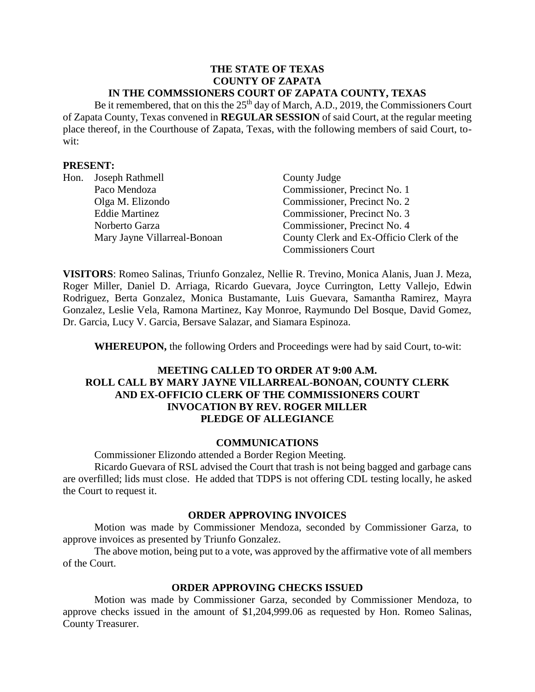#### **THE STATE OF TEXAS COUNTY OF ZAPATA IN THE COMMSSIONERS COURT OF ZAPATA COUNTY, TEXAS**

Be it remembered, that on this the 25<sup>th</sup> day of March, A.D., 2019, the Commissioners Court of Zapata County, Texas convened in **REGULAR SESSION** of said Court, at the regular meeting place thereof, in the Courthouse of Zapata, Texas, with the following members of said Court, towit:

#### **PRESENT:**

| Hon. | Joseph Rathmell              | County Judge                             |
|------|------------------------------|------------------------------------------|
|      | Paco Mendoza                 | Commissioner, Precinct No. 1             |
|      | Olga M. Elizondo             | Commissioner, Precinct No. 2             |
|      | <b>Eddie Martinez</b>        | Commissioner, Precinct No. 3             |
|      | Norberto Garza               | Commissioner, Precinct No. 4             |
|      | Mary Jayne Villarreal-Bonoan | County Clerk and Ex-Officio Clerk of the |
|      |                              | <b>Commissioners Court</b>               |

**VISITORS**: Romeo Salinas, Triunfo Gonzalez, Nellie R. Trevino, Monica Alanis, Juan J. Meza, Roger Miller, Daniel D. Arriaga, Ricardo Guevara, Joyce Currington, Letty Vallejo, Edwin Rodriguez, Berta Gonzalez, Monica Bustamante, Luis Guevara, Samantha Ramirez, Mayra Gonzalez, Leslie Vela, Ramona Martinez, Kay Monroe, Raymundo Del Bosque, David Gomez, Dr. Garcia, Lucy V. Garcia, Bersave Salazar, and Siamara Espinoza.

**WHEREUPON,** the following Orders and Proceedings were had by said Court, to-wit:

## **MEETING CALLED TO ORDER AT 9:00 A.M. ROLL CALL BY MARY JAYNE VILLARREAL-BONOAN, COUNTY CLERK AND EX-OFFICIO CLERK OF THE COMMISSIONERS COURT INVOCATION BY REV. ROGER MILLER PLEDGE OF ALLEGIANCE**

#### **COMMUNICATIONS**

Commissioner Elizondo attended a Border Region Meeting.

Ricardo Guevara of RSL advised the Court that trash is not being bagged and garbage cans are overfilled; lids must close. He added that TDPS is not offering CDL testing locally, he asked the Court to request it.

#### **ORDER APPROVING INVOICES**

Motion was made by Commissioner Mendoza, seconded by Commissioner Garza, to approve invoices as presented by Triunfo Gonzalez.

The above motion, being put to a vote, was approved by the affirmative vote of all members of the Court.

#### **ORDER APPROVING CHECKS ISSUED**

Motion was made by Commissioner Garza, seconded by Commissioner Mendoza, to approve checks issued in the amount of \$1,204,999.06 as requested by Hon. Romeo Salinas, County Treasurer.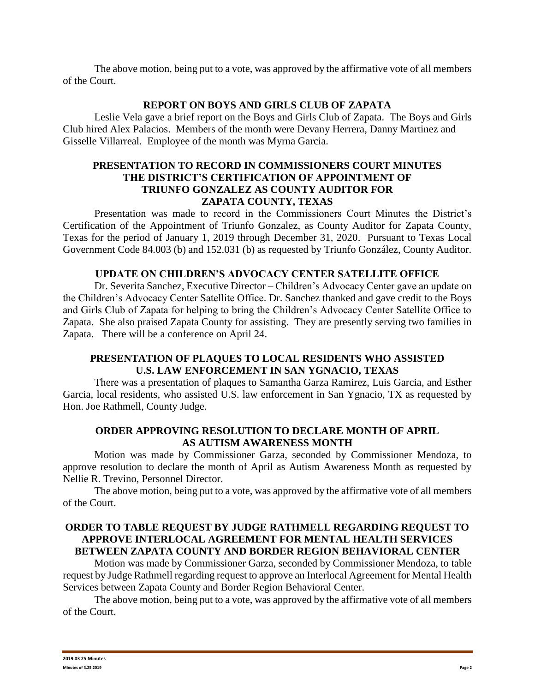The above motion, being put to a vote, was approved by the affirmative vote of all members of the Court.

### **REPORT ON BOYS AND GIRLS CLUB OF ZAPATA**

Leslie Vela gave a brief report on the Boys and Girls Club of Zapata. The Boys and Girls Club hired Alex Palacios. Members of the month were Devany Herrera, Danny Martinez and Gisselle Villarreal. Employee of the month was Myrna Garcia.

## **PRESENTATION TO RECORD IN COMMISSIONERS COURT MINUTES THE DISTRICT'S CERTIFICATION OF APPOINTMENT OF TRIUNFO GONZALEZ AS COUNTY AUDITOR FOR ZAPATA COUNTY, TEXAS**

Presentation was made to record in the Commissioners Court Minutes the District's Certification of the Appointment of Triunfo Gonzalez, as County Auditor for Zapata County, Texas for the period of January 1, 2019 through December 31, 2020. Pursuant to Texas Local Government Code 84.003 (b) and 152.031 (b) as requested by Triunfo González, County Auditor.

# **UPDATE ON CHILDREN'S ADVOCACY CENTER SATELLITE OFFICE**

Dr. Severita Sanchez, Executive Director – Children's Advocacy Center gave an update on the Children's Advocacy Center Satellite Office. Dr. Sanchez thanked and gave credit to the Boys and Girls Club of Zapata for helping to bring the Children's Advocacy Center Satellite Office to Zapata. She also praised Zapata County for assisting. They are presently serving two families in Zapata. There will be a conference on April 24.

# **PRESENTATION OF PLAQUES TO LOCAL RESIDENTS WHO ASSISTED U.S. LAW ENFORCEMENT IN SAN YGNACIO, TEXAS**

There was a presentation of plaques to Samantha Garza Ramirez, Luis Garcia, and Esther Garcia, local residents, who assisted U.S. law enforcement in San Ygnacio, TX as requested by Hon. Joe Rathmell, County Judge.

## **ORDER APPROVING RESOLUTION TO DECLARE MONTH OF APRIL AS AUTISM AWARENESS MONTH**

Motion was made by Commissioner Garza, seconded by Commissioner Mendoza, to approve resolution to declare the month of April as Autism Awareness Month as requested by Nellie R. Trevino, Personnel Director.

The above motion, being put to a vote, was approved by the affirmative vote of all members of the Court.

## **ORDER TO TABLE REQUEST BY JUDGE RATHMELL REGARDING REQUEST TO APPROVE INTERLOCAL AGREEMENT FOR MENTAL HEALTH SERVICES BETWEEN ZAPATA COUNTY AND BORDER REGION BEHAVIORAL CENTER**

Motion was made by Commissioner Garza, seconded by Commissioner Mendoza, to table request by Judge Rathmell regarding request to approve an Interlocal Agreement for Mental Health Services between Zapata County and Border Region Behavioral Center.

The above motion, being put to a vote, was approved by the affirmative vote of all members of the Court.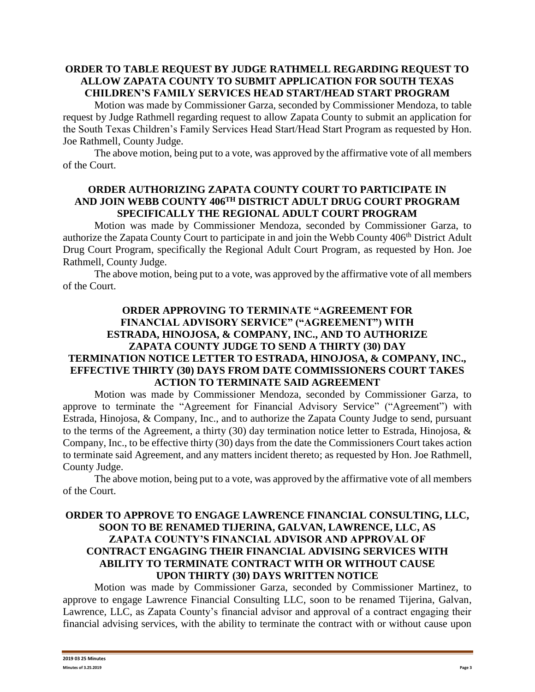## **ORDER TO TABLE REQUEST BY JUDGE RATHMELL REGARDING REQUEST TO ALLOW ZAPATA COUNTY TO SUBMIT APPLICATION FOR SOUTH TEXAS CHILDREN'S FAMILY SERVICES HEAD START/HEAD START PROGRAM**

Motion was made by Commissioner Garza, seconded by Commissioner Mendoza, to table request by Judge Rathmell regarding request to allow Zapata County to submit an application for the South Texas Children's Family Services Head Start/Head Start Program as requested by Hon. Joe Rathmell, County Judge.

The above motion, being put to a vote, was approved by the affirmative vote of all members of the Court.

## **ORDER AUTHORIZING ZAPATA COUNTY COURT TO PARTICIPATE IN AND JOIN WEBB COUNTY 406TH DISTRICT ADULT DRUG COURT PROGRAM SPECIFICALLY THE REGIONAL ADULT COURT PROGRAM**

Motion was made by Commissioner Mendoza, seconded by Commissioner Garza, to authorize the Zapata County Court to participate in and join the Webb County 406<sup>th</sup> District Adult Drug Court Program, specifically the Regional Adult Court Program, as requested by Hon. Joe Rathmell, County Judge.

The above motion, being put to a vote, was approved by the affirmative vote of all members of the Court.

## **ORDER APPROVING TO TERMINATE "AGREEMENT FOR FINANCIAL ADVISORY SERVICE" ("AGREEMENT") WITH ESTRADA, HINOJOSA, & COMPANY, INC., AND TO AUTHORIZE ZAPATA COUNTY JUDGE TO SEND A THIRTY (30) DAY TERMINATION NOTICE LETTER TO ESTRADA, HINOJOSA, & COMPANY, INC., EFFECTIVE THIRTY (30) DAYS FROM DATE COMMISSIONERS COURT TAKES ACTION TO TERMINATE SAID AGREEMENT**

Motion was made by Commissioner Mendoza, seconded by Commissioner Garza, to approve to terminate the "Agreement for Financial Advisory Service" ("Agreement") with Estrada, Hinojosa, & Company, Inc., and to authorize the Zapata County Judge to send, pursuant to the terms of the Agreement, a thirty (30) day termination notice letter to Estrada, Hinojosa, & Company, Inc., to be effective thirty (30) days from the date the Commissioners Court takes action to terminate said Agreement, and any matters incident thereto; as requested by Hon. Joe Rathmell, County Judge.

The above motion, being put to a vote, was approved by the affirmative vote of all members of the Court.

# **ORDER TO APPROVE TO ENGAGE LAWRENCE FINANCIAL CONSULTING, LLC, SOON TO BE RENAMED TIJERINA, GALVAN, LAWRENCE, LLC, AS ZAPATA COUNTY'S FINANCIAL ADVISOR AND APPROVAL OF CONTRACT ENGAGING THEIR FINANCIAL ADVISING SERVICES WITH ABILITY TO TERMINATE CONTRACT WITH OR WITHOUT CAUSE UPON THIRTY (30) DAYS WRITTEN NOTICE**

Motion was made by Commissioner Garza, seconded by Commissioner Martinez, to approve to engage Lawrence Financial Consulting LLC, soon to be renamed Tijerina, Galvan, Lawrence, LLC, as Zapata County's financial advisor and approval of a contract engaging their financial advising services, with the ability to terminate the contract with or without cause upon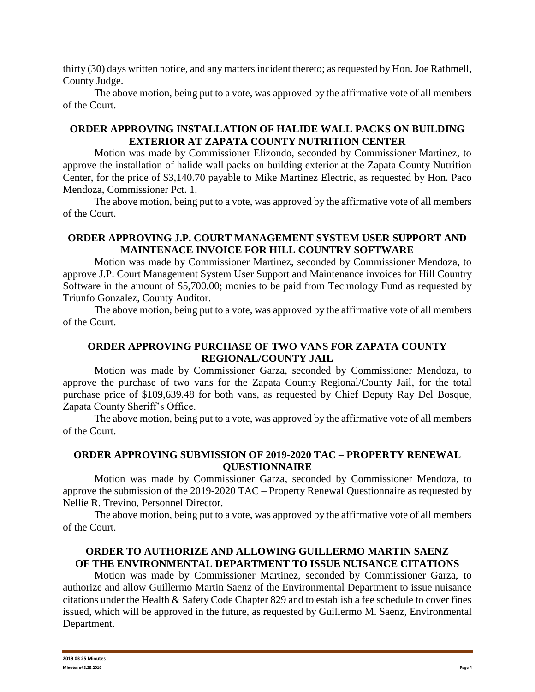thirty (30) days written notice, and any matters incident thereto; as requested by Hon. Joe Rathmell, County Judge.

The above motion, being put to a vote, was approved by the affirmative vote of all members of the Court.

# **ORDER APPROVING INSTALLATION OF HALIDE WALL PACKS ON BUILDING EXTERIOR AT ZAPATA COUNTY NUTRITION CENTER**

Motion was made by Commissioner Elizondo, seconded by Commissioner Martinez, to approve the installation of halide wall packs on building exterior at the Zapata County Nutrition Center, for the price of \$3,140.70 payable to Mike Martinez Electric, as requested by Hon. Paco Mendoza, Commissioner Pct. 1.

The above motion, being put to a vote, was approved by the affirmative vote of all members of the Court.

## **ORDER APPROVING J.P. COURT MANAGEMENT SYSTEM USER SUPPORT AND MAINTENACE INVOICE FOR HILL COUNTRY SOFTWARE**

Motion was made by Commissioner Martinez, seconded by Commissioner Mendoza, to approve J.P. Court Management System User Support and Maintenance invoices for Hill Country Software in the amount of \$5,700.00; monies to be paid from Technology Fund as requested by Triunfo Gonzalez, County Auditor.

The above motion, being put to a vote, was approved by the affirmative vote of all members of the Court.

## **ORDER APPROVING PURCHASE OF TWO VANS FOR ZAPATA COUNTY REGIONAL/COUNTY JAIL**

Motion was made by Commissioner Garza, seconded by Commissioner Mendoza, to approve the purchase of two vans for the Zapata County Regional/County Jail, for the total purchase price of \$109,639.48 for both vans, as requested by Chief Deputy Ray Del Bosque, Zapata County Sheriff's Office.

The above motion, being put to a vote, was approved by the affirmative vote of all members of the Court.

#### **ORDER APPROVING SUBMISSION OF 2019-2020 TAC – PROPERTY RENEWAL QUESTIONNAIRE**

Motion was made by Commissioner Garza, seconded by Commissioner Mendoza, to approve the submission of the 2019-2020 TAC – Property Renewal Questionnaire as requested by Nellie R. Trevino, Personnel Director.

The above motion, being put to a vote, was approved by the affirmative vote of all members of the Court.

# **ORDER TO AUTHORIZE AND ALLOWING GUILLERMO MARTIN SAENZ OF THE ENVIRONMENTAL DEPARTMENT TO ISSUE NUISANCE CITATIONS**

Motion was made by Commissioner Martinez, seconded by Commissioner Garza, to authorize and allow Guillermo Martin Saenz of the Environmental Department to issue nuisance citations under the Health & Safety Code Chapter 829 and to establish a fee schedule to cover fines issued, which will be approved in the future, as requested by Guillermo M. Saenz, Environmental Department.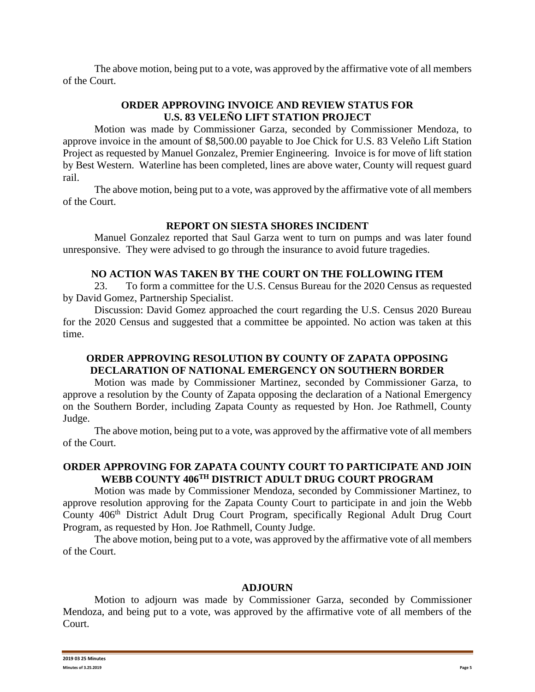The above motion, being put to a vote, was approved by the affirmative vote of all members of the Court.

## **ORDER APPROVING INVOICE AND REVIEW STATUS FOR U.S. 83 VELEÑO LIFT STATION PROJECT**

Motion was made by Commissioner Garza, seconded by Commissioner Mendoza, to approve invoice in the amount of \$8,500.00 payable to Joe Chick for U.S. 83 Veleño Lift Station Project as requested by Manuel Gonzalez, Premier Engineering. Invoice is for move of lift station by Best Western. Waterline has been completed, lines are above water, County will request guard rail.

The above motion, being put to a vote, was approved by the affirmative vote of all members of the Court.

## **REPORT ON SIESTA SHORES INCIDENT**

Manuel Gonzalez reported that Saul Garza went to turn on pumps and was later found unresponsive. They were advised to go through the insurance to avoid future tragedies.

## **NO ACTION WAS TAKEN BY THE COURT ON THE FOLLOWING ITEM**

23. To form a committee for the U.S. Census Bureau for the 2020 Census as requested by David Gomez, Partnership Specialist.

Discussion: David Gomez approached the court regarding the U.S. Census 2020 Bureau for the 2020 Census and suggested that a committee be appointed. No action was taken at this time.

# **ORDER APPROVING RESOLUTION BY COUNTY OF ZAPATA OPPOSING DECLARATION OF NATIONAL EMERGENCY ON SOUTHERN BORDER**

Motion was made by Commissioner Martinez, seconded by Commissioner Garza, to approve a resolution by the County of Zapata opposing the declaration of a National Emergency on the Southern Border, including Zapata County as requested by Hon. Joe Rathmell, County Judge.

The above motion, being put to a vote, was approved by the affirmative vote of all members of the Court.

## **ORDER APPROVING FOR ZAPATA COUNTY COURT TO PARTICIPATE AND JOIN WEBB COUNTY 406TH DISTRICT ADULT DRUG COURT PROGRAM**

Motion was made by Commissioner Mendoza, seconded by Commissioner Martinez, to approve resolution approving for the Zapata County Court to participate in and join the Webb County 406th District Adult Drug Court Program, specifically Regional Adult Drug Court Program, as requested by Hon. Joe Rathmell, County Judge.

The above motion, being put to a vote, was approved by the affirmative vote of all members of the Court.

#### **ADJOURN**

Motion to adjourn was made by Commissioner Garza, seconded by Commissioner Mendoza, and being put to a vote, was approved by the affirmative vote of all members of the Court.